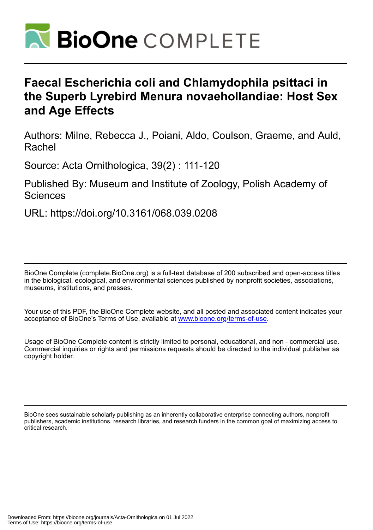

# **Faecal Escherichia coli and Chlamydophila psittaci in the Superb Lyrebird Menura novaehollandiae: Host Sex and Age Effects**

Authors: Milne, Rebecca J., Poiani, Aldo, Coulson, Graeme, and Auld, Rachel

Source: Acta Ornithologica, 39(2) : 111-120

Published By: Museum and Institute of Zoology, Polish Academy of **Sciences** 

URL: https://doi.org/10.3161/068.039.0208

BioOne Complete (complete.BioOne.org) is a full-text database of 200 subscribed and open-access titles in the biological, ecological, and environmental sciences published by nonprofit societies, associations, museums, institutions, and presses.

Your use of this PDF, the BioOne Complete website, and all posted and associated content indicates your acceptance of BioOne's Terms of Use, available at www.bioone.org/terms-of-use.

Usage of BioOne Complete content is strictly limited to personal, educational, and non - commercial use. Commercial inquiries or rights and permissions requests should be directed to the individual publisher as copyright holder.

BioOne sees sustainable scholarly publishing as an inherently collaborative enterprise connecting authors, nonprofit publishers, academic institutions, research libraries, and research funders in the common goal of maximizing access to critical research.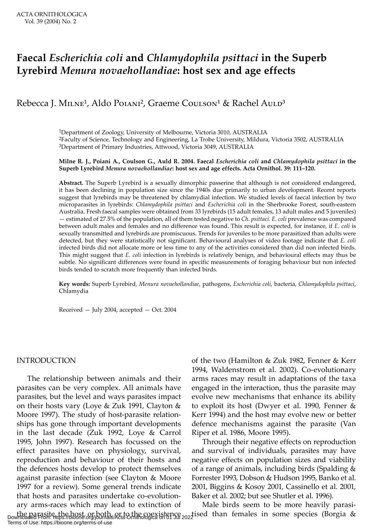# **Faecal** *Escherichia coli* **and** *Chlamydophila psittaci* **in the Superb Lyrebird** *Menura novaehollandiae***: host sex and age effects**

# Rebecca J. MILNE<sup>1</sup>, Aldo Pојамі<sup>2</sup>, Graeme Coulson<sup>1</sup> & Rachel Auld<sup>3</sup>

1Department of Zoology, University of Melbourne, Victoria 3010, AUSTRALIA 2Faculty of Science, Technology and Engineering, La Trobe University, Mildura, Victoria 3502, AUSTRALIA 3Department of Primary Industries, Attwood, Victoria 3049, AUSTRALIA

#### **Milne R. J., Poiani A., Coulson G., Auld R. 2004. Faecal** *Escherichia coli* **and** *Chlamydophila psittaci* **in the Superb Lyrebird** *Menura novaehollandiae***: host sex and age effects. Acta Ornithol. 39: 111–120.**

**Abstract.** The Superb Lyrebird is a sexually dimorphic passerine that although is not considered endangered, it has been declining in population size since the 1940s due primarily to urban development. Recent reports suggest that lyrebirds may be threatened by chlamydial infection. We studied levels of faecal infection by two microparasites in lyrebirds: *Chlamydophila psittaci* and *Escherichia coli* in the Sherbrooke Forest, south-eastern Australia. Fresh faecal samples were obtained from 33 lyrebirds (15 adult females, 13 adult males and 5 juveniles) — estimated of 27.5% of the population, all of them tested negative to *Ch. psittaci*. *E. coli* prevalence was compared between adult males and females and no difference was found. This result is expected, for instance, if *E. coli* is sexually transmitted and lyrebirds are promiscuous. Trends for juveniles to be more parasitized than adults were detected, but they were statistically not significant. Behavioural analyses of video footage indicate that *E. coli* infected birds did not allocate more or less time to any of the activities considered than did non infected birds. This might suggest that *E. coli* infection in lyrebirds is relatively benign, and behavioural effects may thus be subtle. No significant differences were found in specific measurements of foraging behaviour but non infected birds tended to scratch more frequently than infected birds.

**Key words:** Superb Lyrebird, *Menura novaehollandiae*, pathogens, *Escherichia coli*, bacteria, *Chlamydophila psittaci*, Chlamydia

Received — July 2004, accepted — Oct. 2004

### INTRODUCTION

The relationship between animals and their parasites can be very complex. All animals have parasites, but the level and ways parasites impact on their hosts vary (Loye & Zuk 1991, Clayton & Moore 1997). The study of host-parasite relationships has gone through important developments in the last decade (Zuk 1992, Loye & Carrol 1995, John 1997). Research has focussed on the effect parasites have on physiology, survival, reproduction and behaviour of their hosts and the defences hosts develop to protect themselves against parasite infection (see Clayton & Moore 1997 for a review). Some general trends indicate that hosts and parasites undertake co-evolutionary arms-races which may lead to extinction of

of the two (Hamilton & Zuk 1982, Fenner & Kerr 1994, Waldenstrom et al. 2002). Co-evolutionary arms races may result in adaptations of the taxa engaged in the interaction, thus the parasite may evolve new mechanisms that enhance its ability to exploit its host (Dwyer et al. 1990, Fenner & Kerr 1994) and the host may evolve new or better defence mechanisms against the parasite (Van Riper et al. 1986, Moore 1995).

Through their negative effects on reproduction and survival of individuals, parasites may have negative effects on population sizes and viability of a range of animals, including birds (Spalding & Forrester 1993, Dobson & Hudson 1995, Banko et al. 2001, Biggins & Kosoy 2001, Cassinello et al. 2001, Baker et al. 2002; but see Shutler et al. 1996).

the parasite, the host, or both, or to the coexistence and than females in some species (Borgia & borgia)<br>Downloaded From: https://bioone.org/journals/Acta-Ornithologica on 01 Jul 2022 Male birds seem to be more heavily parasi-Terms of Use: https://bioone.org/terms-of-use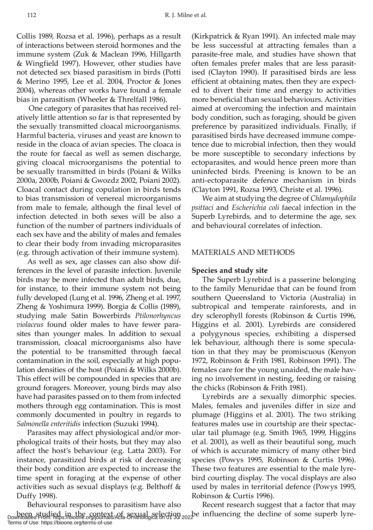Collis 1989, Rozsa et al. 1996), perhaps as a result of interactions between steroid hormones and the immune system (Zuk & Maclean 1996, Hillgarth & Wingfield 1997). However, other studies have not detected sex biased parasitism in birds (Potti & Merino 1995, Lee et al. 2004, Proctor & Jones 2004), whereas other works have found a female bias in parasitism (Wheeler & Threlfall 1986).

 One category of parasites that has received relatively little attention so far is that represented by the sexually transmitted cloacal microorganisms. Harmful bacteria, viruses and yeast are known to reside in the cloaca of avian species. The cloaca is the route for faecal as well as semen discharge, giving cloacal microorganisms the potential to be sexually transmitted in birds (Poiani & Wilks 2000a, 2000b, Poiani & Gwozdz 2002, Poiani 2002). Cloacal contact during copulation in birds tends to bias transmission of venereal microorganisms from male to female, although the final level of infection detected in both sexes will be also a function of the number of partners individuals of each sex have and the ability of males and females to clear their body from invading microparasites (e.g. through activation of their immune system).

As well as sex, age classes can also show differences in the level of parasite infection. Juvenile birds may be more infected than adult birds, due, for instance, to their immune system not being fully developed (Lung et al. 1996, Zheng et al. 1997, Zheng & Yoshimura 1999). Borgia & Collis (1989), studying male Satin Bowerbirds *Ptilonorhyncus violaceus* found older males to have fewer parasites than younger males. In addition to sexual transmission, cloacal microorganisms also have the potential to be transmitted through faecal contamination in the soil, especially at high population densities of the host (Poiani & Wilks 2000b). This effect will be compounded in species that are ground foragers. Moreover, young birds may also have had parasites passed on to them from infected mothers through egg contamination. This is most commonly documented in poultry in regards to *Salmonella enteritidis* infection (Suzuki 1994).

Parasites may affect physiological and/or morphological traits of their hosts, but they may also affect the host's behaviour (e.g. Latta 2003). For instance, parasitized birds at risk of decreasing their body condition are expected to increase the time spent in foraging at the expense of other activities such as sexual displays (e.g. Belthoff & Duffy 1998).

(Kirkpatrick & Ryan 1991). An infected male may be less successful at attracting females than a parasite-free male, and studies have shown that often females prefer males that are less parasitised (Clayton 1990). If parasitised birds are less efficient at obtaining mates, then they are expected to divert their time and energy to activities more beneficial than sexual behaviours. Activities aimed at overcoming the infection and maintain body condition, such as foraging, should be given preference by parasitized individuals. Finally, if parasitised birds have decreased immune competence due to microbial infection, then they would be more susceptible to secondary infections by ectoparasites, and would hence preen more than uninfected birds. Preening is known to be an anti-ectoparasite defence mechanism in birds (Clayton 1991, Rozsa 1993, Christe et al. 1996).

We aim at studying the degree of *Chlamydophila psittaci* and *Escherichia coli* faecal infection in the Superb Lyrebirds, and to determine the age, sex and behavioural correlates of infection.

## MATERIALS AND METHODS

#### **Species and study site**

The Superb Lyrebird is a passerine belonging to the family Menuridae that can be found from southern Queensland to Victoria (Australia) in subtropical and temperate rainforests, and in dry sclerophyll forests (Robinson & Curtis 1996, Higgins et al. 2001). Lyrebirds are considered a polygynous species, exhibiting a dispersed lek behaviour, although there is some speculation in that they may be promiscuous (Kenyon 1972, Robinson & Frith 1981, Robinson 1991). The females care for the young unaided, the male having no involvement in nesting, feeding or raising the chicks (Robinson & Frith 1981).

Lyrebirds are a sexually dimorphic species. Males, females and juveniles differ in size and plumage (Higgins et al. 2001). The two striking features males use in courtship are their spectacular tail plumage (e.g. Smith 1965, 1999, Higgins et al. 2001), as well as their beautiful song, much of which is accurate mimicry of many other bird species (Powys 1995, Robinson & Curtis 1996). These two features are essential to the male lyrebird courting display. The vocal displays are also used by males in territorial defence (Powys 1995, Robinson & Curtis 1996).

Behavioural responses to parasitism have also been studied in the context of sexual selection <sub>202</sub>be influencing the decline of some superb lyre-<br>Downloaded From: https://bioone.org/journals/Acta-Ornithologica on 01 Jul 2022 Recent research suggest that a factor that may Terms of Use: https://bioone.org/terms-of-use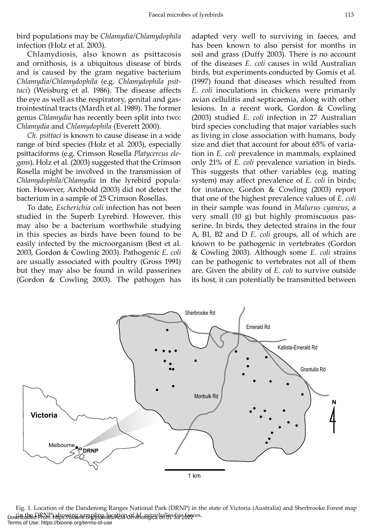bird populations may be *Chlamydia/Chlamydophila* infection (Holz et al*.* 2003).

Chlamydiosis, also known as psittacosis and ornithosis, is a ubiquitous disease of birds and is caused by the gram negative bacterium *Chlamydia/Chlamydophila* (e.g. *Chlamydophila psittaci*) (Weisburg et al. 1986). The disease affects the eye as well as the respiratory, genital and gastrointestinal tracts (Mardh et al. 1989). The former genus *Chlamydia* has recently been split into two: *Chlamydia* and *Chlamydophila* (Everett 2000).

*Ch. psittaci* is known to cause disease in a wide range of bird species (Holz et al*.* 2003), especially psittaciforms (e.g. Crimson Rosella *Platycercus elegans*). Holz et al*.* (2003) suggested that the Crimson Rosella might be involved in the transmission of *Chlamydophila/Chlamydia* in the lyrebird population. However, Archbold (2003) did not detect the bacterium in a sample of 25 Crimson Rosellas.

To date, *Escherichia coli* infection has not been studied in the Superb Lyrebird. However, this may also be a bacterium worthwhile studying in this species as birds have been found to be easily infected by the microorganism (Best et al*.* 2003, Gordon & Cowling 2003). Pathogenic *E. coli* are usually associated with poultry (Gross 1991) but they may also be found in wild passerines (Gordon & Cowling 2003). The pathogen has

adapted very well to surviving in faeces, and has been known to also persist for months in soil and grass (Duffy 2003). There is no account of the diseases *E. coli* causes in wild Australian birds, but experiments conducted by Gomis et al*.* (1997) found that diseases which resulted from *E. coli* inoculations in chickens were primarily avian cellulitis and septicaemia, along with other lesions. In a recent work, Gordon & Cowling (2003) studied *E. coli* infection in 27 Australian bird species concluding that major variables such as living in close association with humans, body size and diet that account for about 65% of variation in *E. coli* prevalence in mammals, explained only 21% of *E. coli* prevalence variation in birds. This suggests that other variables (e.g. mating system) may affect prevalence of *E. coli* in birds; for instance, Gordon & Cowling (2003) report that one of the highest prevalence values of *E. coli* in their sample was found in *Malurus cyaneus*, a very small (10 g) but highly promiscuous passerine. In birds, they detected strains in the four A, B1, B2 and D *E. coli* groups, all of which are known to be pathogenic in vertebrates (Gordon & Cowling 2003). Although some *E. coli* strains can be pathogenic to vertebrates not all of them are. Given the ability of *E. coli* to survive outside its host, it can potentially be transmitted between



Fig. 1. Location of the Dandenong Ranges National Park (DRNP) in the state of Victoria (Australia) and Sherbrooke Forest map (in the DRNP) showing sampling location of *M. novaehollandiae* faeces. Downloaded From: https://bioone.org/journals/Acta-Ornithologica on 01 Jul 2022 Terms of Use: https://bioone.org/terms-of-use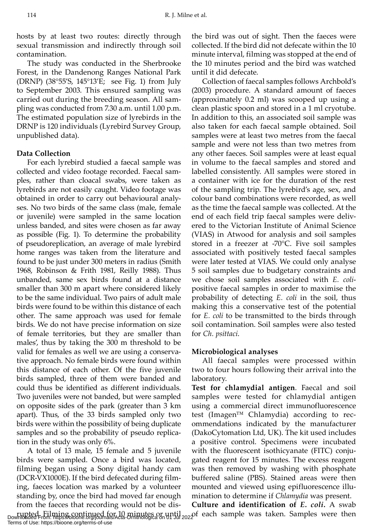hosts by at least two routes: directly through sexual transmission and indirectly through soil contamination.

The study was conducted in the Sherbrooke Forest, in the Dandenong Ranges National Park (DRNP) (38°55'S, 145°13'E; see Fig. 1) from July to September 2003. This ensured sampling was carried out during the breeding season. All sampling was conducted from 7.30 a.m. until 1.00 p.m. The estimated population size of lyrebirds in the DRNP is 120 individuals (Lyrebird Survey Group, unpublished data).

# **Data Collection**

For each lyrebird studied a faecal sample was collected and video footage recorded. Faecal samples, rather than cloacal swabs, were taken as lyrebirds are not easily caught. Video footage was obtained in order to carry out behavioural analyses. No two birds of the same class (male, female or juvenile) were sampled in the same location unless banded, and sites were chosen as far away as possible (Fig. 1). To determine the probability of pseudoreplication, an average of male lyrebird home ranges was taken from the literature and found to be just under 300 meters in radius (Smith 1968, Robinson & Frith 1981, Reilly 1988). Thus unbanded, same sex birds found at a distance smaller than 300 m apart where considered likely to be the same individual. Two pairs of adult male birds were found to be within this distance of each other. The same approach was used for female birds. We do not have precise information on size of female territories, but they are smaller than males', thus by taking the 300 m threshold to be valid for females as well we are using a conservative approach. No female birds were found within this distance of each other. Of the five juvenile birds sampled, three of them were banded and could thus be identified as different individuals. Two juveniles were not banded, but were sampled on opposite sides of the park (greater than 3 km apart). Thus, of the 33 birds sampled only two birds were within the possibility of being duplicate samples and so the probability of pseudo replication in the study was only 6%.

A total of 13 male, 15 female and 5 juvenile birds were sampled. Once a bird was located, filming began using a Sony digital handy cam (DCR-VX1000E). If the bird defecated during filming, faeces location was marked by a volunteer standing by, once the bird had moved far enough from the faeces that recording would not be dis-

Terms of Use: https://bioone.org/terms-of-use

the bird was out of sight. Then the faeces were collected. If the bird did not defecate within the 10 minute interval, filming was stopped at the end of the 10 minutes period and the bird was watched until it did defecate.

Collection of faecal samples follows Archbold's (2003) procedure. A standard amount of faeces (approximately 0.2 ml) was scooped up using a clean plastic spoon and stored in a 1 ml cryotube. In addition to this, an associated soil sample was also taken for each faecal sample obtained. Soil samples were at least two metres from the faecal sample and were not less than two metres from any other faeces. Soil samples were at least equal in volume to the faecal samples and stored and labelled consistently. All samples were stored in a container with ice for the duration of the rest of the sampling trip. The lyrebird's age, sex, and colour band combinations were recorded, as well as the time the faecal sample was collected. At the end of each field trip faecal samples were delivered to the Victorian Institute of Animal Science (VIAS) in Atwood for analysis and soil samples stored in a freezer at -70°C. Five soil samples associated with positively tested faecal samples were later tested at VIAS. We could only analyse 5 soil samples due to budgetary constraints and we chose soil samples associated with *E. coli*positive faecal samples in order to maximise the probability of detecting *E. coli* in the soil, thus making this a conservative test of the potential for *E. coli* to be transmitted to the birds through soil contamination. Soil samples were also tested for *Ch. psittaci*.

# **Microbiological analyses**

All faecal samples were processed within two to four hours following their arrival into the laboratory.

**Test for chlamydial antigen**. Faecal and soil samples were tested for chlamydial antigen using a commercial direct immunofluorescence test (Imagen™ Chlamydia) according to recommendations indicated by the manufacturer (DakoCytomation Ltd, UK). The kit used includes a positive control. Specimens were incubated with the fluorescent isothicyanate (FITC) conjugated reagent for 15 minutes. The excess reagent was then removed by washing with phosphate buffered saline (PBS). Stained areas were then mounted and viewed using epifluorescence illumination to determine if *Chlamydia* was present.

rupted. Filming continued for 10 minutes or until<br>Downloaded From: https://bioone.org/journals/Acta-Ornithologica on 01 Jul 2022f each sample was taken. Samples were then **Culture and identification of** *E. coli.* A swab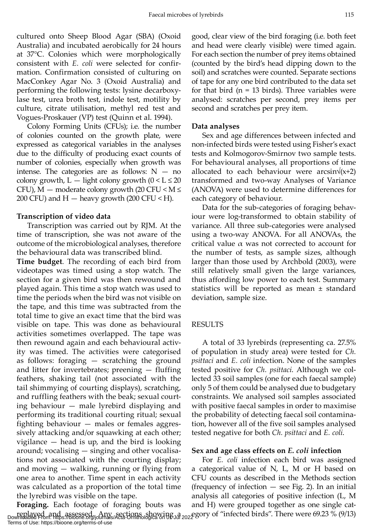cultured onto Sheep Blood Agar (SBA) (Oxoid Australia) and incubated aerobically for 24 hours at 37°C. Colonies which were morphologically consistent with *E. coli* were selected for confirmation. Confirmation consisted of culturing on MacConkey Agar No. 3 (Oxoid Australia) and performing the following tests: lysine decarboxylase test, urea broth test, indole test, motility by culture, citrate utilisation, methyl red test and Vogues-Proskauer (VP) test (Quinn et al. 1994).

Colony Forming Units (CFUs); i.e. the number of colonies counted on the growth plate, were expressed as categorical variables in the analyses due to the difficulty of producing exact counts of number of colonies, especially when growth was intense. The categories are as follows:  $N - n0$ colony growth,  $L -$  light colony growth  $(0 < L \le 20)$ CFU),  $M$  — moderate colony growth (20 CFU <  $M \leq$ 200 CFU) and  $H$  — heavy growth (200 CFU < H).

### **Transcription of video data**

Transcription was carried out by RJM. At the time of transcription, she was not aware of the outcome of the microbiological analyses, therefore the behavioural data was transcribed blind.

**Time budget**. The recording of each bird from videotapes was timed using a stop watch. The section for a given bird was then rewound and played again. This time a stop watch was used to time the periods when the bird was not visible on the tape, and this time was subtracted from the total time to give an exact time that the bird was visible on tape. This was done as behavioural activities sometimes overlapped. The tape was then rewound again and each behavioural activity was timed. The activities were categorised as follows: foraging — scratching the ground and litter for invertebrates; preening — fluffing feathers, shaking tail (not associated with the tail shimmying of courting displays), scratching, and ruffling feathers with the beak; sexual courting behaviour — male lyrebird displaying and performing its traditional courting ritual; sexual fighting behaviour — males or females aggressively attacking and/or squawking at each other; vigilance — head is up, and the bird is looking around; vocalising — singing and other vocalisations not associated with the courting display; and moving — walking, running or flying from one area to another. Time spent in each activity was calculated as a proportion of the total time the lyrebird was visible on the tape.

**Foraging.** Each footage of foraging bouts was replayed and assessed. Any sections showing a *a egory of "infected birds"*. There were 69.23 % (9/13) Downloaded From: https://bioone.org/journals/Acta-Ornithologica on 06Jul 2022 gory of "infected birds". There were 69.2 Terms of Use: https://bioone.org/terms-of-use

good, clear view of the bird foraging (i.e. both feet and head were clearly visible) were timed again. For each section the number of prey items obtained (counted by the bird's head dipping down to the soil) and scratches were counted. Separate sections of tape for any one bird contributed to the data set for that bird  $(n = 13 \text{ birds})$ . Three variables were analysed: scratches per second, prey items per second and scratches per prey item.

#### **Data analyses**

Sex and age differences between infected and non-infected birds were tested using Fisher's exact tests and Kolmogorov-Smirnov two sample tests. For behavioural analyses, all proportions of time allocated to each behaviour were arcsin $\sqrt{x+2}$ transformed and two-way Analyses of Variance (ANOVA) were used to determine differences for each category of behaviour.

Data for the sub-categories of foraging behaviour were log-transformed to obtain stability of variance. All three sub-categories were analysed using a two-way ANOVA. For all ANOVAs, the critical value  $\alpha$  was not corrected to account for the number of tests, as sample sizes, although larger than those used by Archbold (2003), were still relatively small given the large variances, thus affording low power to each test. Summary statistics will be reported as mean ± standard deviation, sample size.

#### RESULTS

A total of 33 lyrebirds (representing ca. 27.5% of population in study area) were tested for *Ch. psittaci* and *E. coli* infection. None of the samples tested positive for *Ch. psittaci*. Although we collected 33 soil samples (one for each faecal sample) only 5 of them could be analysed due to budgetary constraints. We analysed soil samples associated with positive faecal samples in order to maximise the probability of detecting faecal soil contamination, however all of the five soil samples analysed tested negative for both *Ch. psittaci* and *E. coli*.

### **Sex and age class effects on** *E. coli* **infection**

For *E. coli* infection each bird was assigned a categorical value of N, L, M or H based on CFU counts as described in the Methods section (frequency of infection  $-$  see Fig. 2). In an initial analysis all categories of positive infection (L, M and H) were grouped together as one single cat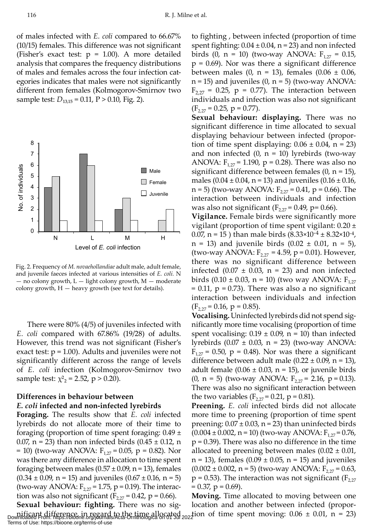of males infected with *E. coli* compared to 66.67% (10/15) females. This difference was not significant (Fisher's exact test:  $p = 1.00$ ). A more detailed analysis that compares the frequency distributions of males and females across the four infection categories indicates that males were not significantly different from females (Kolmogorov-Smirnov two sample test:  $D_{13,15} = 0.11, P > 0.10, Fig. 2$ ).



Fig. 2. Frequency of *M. novaehollandiae* adult male, adult female, and juvenile faeces infected at various intensities of *E. coli.* N — no colony growth, L — light colony growth, M — moderate colony growth,  $H$  — heavy growth (see text for details).

There were 80% (4/5) of juveniles infected with *E. coli* compared with 67.86% (19/28) of adults. However, this trend was not significant (Fisher's exact test:  $p = 1.00$ ). Adults and juveniles were not significantly different across the range of levels of *E. coli* infection (Kolmogorov-Smirnov two sample test:  $\chi^2$ <sub>2</sub> = 2.52, p > 0.20).

# **Differences in behaviour between**  *E. coli* **infected and non-infected lyrebirds**

**Foraging.** The results show that *E. coli* infected lyrebirds do not allocate more of their time to foraging (proportion of time spent foraging:  $0.49 \pm 1$ 0.07, n = 23) than non infected birds  $(0.45 \pm 0.12, n$ = 10) (two-way ANOVA:  $F_{1,27} = 0.05$ , p = 0.82). Nor was there any difference in allocation to time spent foraging between males  $(0.57 \pm 0.09)$ , n = 13), females  $(0.34 \pm 0.09, n = 15)$  and juveniles  $(0.67 \pm 0.16, n = 5)$ (two-way ANOVA:  $F_{2,27} = 1.75$ , p = 0.19). The interaction was also not significant ( $F_{2,27} = 0.42$ , p = 0.66).

to fighting , between infected (proportion of time spent fighting:  $0.04 \pm 0.04$ , n = 23) and non infected birds (0, n = 10) (two-way ANOVA:  $F_{1,27} = 0.15$ ,  $p = 0.69$ ). Nor was there a significant difference between males (0, n = 13), females (0.06  $\pm$  0.06,  $n = 15$ ) and juveniles  $(0, n = 5)$  (two-way ANOVA:  $F_{2,27}$  = 0.25, p = 0.77). The interaction between individuals and infection was also not significant  $(F_{2,27} = 0.25, p = 0.77)$ .

**Sexual behaviour: displaying.** There was no significant difference in time allocated to sexual displaying behaviour between infected (proportion of time spent displaying:  $0.06 \pm 0.04$ , n = 23) and non infected  $(0, n = 10)$  lyrebirds (two-way ANOVA:  $F_{1,27}$  = 1.190, p = 0.28). There was also no significant difference between females  $(0, n = 15)$ , males  $(0.04 \pm 0.04, n = 13)$  and juveniles  $(0.16 \pm 0.16, n = 13)$ n = 5) (two-way ANOVA:  $F_{2,27} = 0.41$ , p = 0.66). The interaction between individuals and infection was also not significant ( $F_{2,27} = 0.49$ , p= 0.66).

**Vigilance.** Female birds were significantly more vigilant (proportion of time spent vigilant:  $0.20 \pm$ 0.07, n = 15 ) than male birds  $(8.33 \times 10^{-4} \pm 8.32 \times 10^{-4})$ , n = 13) and juvenile birds (0.02 ± 0.01, n *=* 5), (two-way ANOVA:  $F_{2,27} = 4.59$ , p = 0.01). However, there was no significant difference between infected  $(0.07 \pm 0.03, n = 23)$  and non infected birds (0.10 ± 0.03, n = 10) (two way ANOVA:  $F_{1,27}$  $= 0.11$ ,  $p = 0.73$ ). There was also a no significant interaction between individuals and infection  $(F_{2,27} = 0.16, p = 0.85).$ 

**Vocalising.** Uninfected lyrebirds did not spend significantly more time vocalising (proportion of time spent vocalising:  $0.19 \pm 0.09$ , n = 10) than infected lyrebirds  $(0.07 \pm 0.03, n = 23)$  (two-way ANOVA:  $F_{1,27}$  = 0.50, p = 0.48). Nor was there a significant difference between adult male  $(0.22 \pm 0.09)$ , n = 13), adult female  $(0.06 \pm 0.03, n = 15)$ , or juvenile birds (0, n = 5) (two-way ANOVA:  $F_{2,27}$  = 2.16, p = 0.13). There was also no significant interaction between the two variables  $(F_{2,27} = 0.21, p = 0.81)$ .

**Preening.** *E. coli* infected birds did not allocate more time to preening (proportion of time spent preening:  $0.07 \pm 0.03$ , n = 23) than uninfected birds  $(0.004 \pm 0.002, n = 10)$  (two-way ANOVA:  $F_{1,27} = 0.76$ )  $p = 0.39$ ). There was also no difference in the time allocated to preening between males  $(0.02 \pm 0.01)$ ,  $n = 13$ , females  $(0.09 \pm 0.05, n = 15)$  and juveniles  $(0.002 \pm 0.002, n = 5)$  (two-way ANOVA:  $F_{2.27} = 0.63$ ,  $p = 0.53$ ). The interaction was not significant ( $F_{2,27}$ )  $= 0.37$ ,  $p = 0.69$ ).

**Sexual behaviour: fighting.** There was no sigmificant difference, in regard to the time allocated  $_{202}$ tion of time spent moving:  $0.06 \pm 0.01$ , n = 23) Downloaded From: https://bioone.org/journals/Acta-Ornithologica on 01 Jul 2022 **Moving.** Time allocated to moving between one location and another between infected (propor-Terms of Use: https://bioone.org/terms-of-use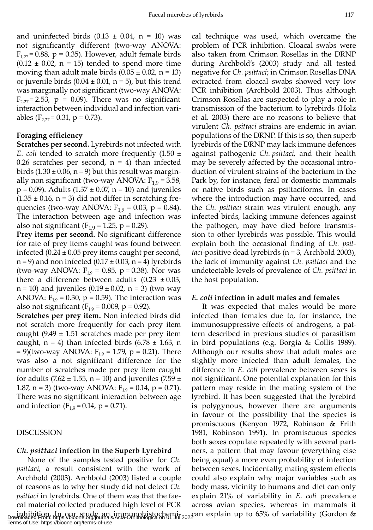and uninfected birds  $(0.13 \pm 0.04, n = 10)$  was not significantly different (two-way ANOVA:  $F_{1,27}$  = 0.88, p = 0.35). However, adult female birds  $(0.12 \pm 0.02, n = 15)$  tended to spend more time moving than adult male birds  $(0.05 \pm 0.02, n = 13)$ or juvenile birds  $(0.04 \pm 0.01, n = 5)$ , but this trend was marginally not significant (two-way ANOVA:  $F_{2,27}$  = 2.53, p = 0.09). There was no significant interaction between individual and infection variables ( $F_{2,27}$  = 0.31, p = 0.73).

## **Foraging efficiency**

**Scratches per second.** Lyrebirds not infected with *E. coli* tended to scratch more frequently (1.50 ± 0.26 scratches per second,  $n = 4$ ) than infected birds  $(1.30 \pm 0.06, n = 9)$  but this result was marginally non significant (two-way ANOVA:  $F_{1,9} = 3.58$ ,  $p = 0.09$ ). Adults (1.37  $\pm$  0.07, n = 10) and juveniles  $(1.35 \pm 0.16, n = 3)$  did not differ in scratching frequencies (two-way ANOVA:  $F_{1,9} = 0.03$ , p = 0.84). The interaction between age and infection was also not significant ( $F_{1,9}$  = 1.25, p = 0.29).

**Prey items per second.** No significant difference for rate of prey items caught was found between infected  $(0.24 \pm 0.05$  prey items caught per second,  $n = 9$ ) and non infected (0.17  $\pm$  0.03,  $n = 4$ ) lyrebirds (two-way ANOVA:  $F_{1,9} = 0.85$ , p = 0.38). Nor was there a difference between adults  $(0.23 \pm 0.03)$ ,  $n = 10$ ) and juveniles  $(0.19 \pm 0.02, n = 3)$  (two-way ANOVA:  $F_{1,9}$  = 0.30, p = 0.59). The interaction was also not significant ( $F_{1,9} = 0.009$ , p = 0.92).

**Scratches per prey item.** Non infected birds did not scratch more frequently for each prey item caught  $(9.49 \pm 1.51$  scratches made per prey item caught,  $n = 4$ ) than infected birds (6.78  $\pm$  1.63, n  $= 9$ )(two-way ANOVA: F<sub>19</sub> = 1.79, p = 0.21). There was also a not significant difference for the number of scratches made per prey item caught for adults (7.62  $\pm$  1.55, n = 10) and juveniles (7.59  $\pm$ 1.87, n = 3) (two-way ANOVA:  $F_{1,9} = 0.14$ , p = 0.71). There was no significant interaction between age and infection ( $F_{1,9} = 0.14$ ,  $p = 0.71$ ).

### DISCUSSION

# *Ch. psittaci* **infection in the Superb Lyrebird**

None of the samples tested positive for *Ch. psittaci*, a result consistent with the work of Archbold (2003). Archbold (2003) listed a couple of reasons as to why her study did not detect *Ch. psittaci* in lyrebirds. One of them was that the faecal material collected produced high level of PCR inhibition. In our study an immunohistochemi-<br>Downloaded From: https://bioone.org/journals/Acta-Ornithologica on 01 Jul 2022 an explain up to 65% of variability (Gordon & Terms of Use: https://bioone.org/terms-of-use

cal technique was used, which overcame the problem of PCR inhibition. Cloacal swabs were also taken from Crimson Rosellas in the DRNP during Archbold's (2003) study and all tested negative for *Ch. psittaci*; in Crimson Rosellas DNA extracted from cloacal swabs showed very low PCR inhibition (Archbold 2003). Thus although Crimson Rosellas are suspected to play a role in transmission of the bacterium to lyrebirds (Holz et al*.* 2003) there are no reasons to believe that virulent *Ch. psittaci* strains are endemic in avian populations of the DRNP. If this is so, then superb lyrebirds of the DRNP may lack immune defences against pathogenic *Ch. psittaci,* and their health may be severely affected by the occasional introduction of virulent strains of the bacterium in the Park by, for instance, feral or domestic mammals or native birds such as psittaciforms. In cases where the introduction may have occurred, and the *Ch. psittaci* strain was virulent enough, any infected birds, lacking immune defences against the pathogen, may have died before transmission to other lyrebirds was possible. This would explain both the occasional finding of *Ch. psittaci*-positive dead lyrebirds (n = 3, Archbold 2003), the lack of immunity against *Ch. psittaci* and the undetectable levels of prevalence of *Ch. psittaci* in the host population.

# *E. coli* **infection in adult males and females**

It was expected that males would be more infected than females due to, for instance, the immunosuppressive effects of androgens, a pattern described in previous studies of parasitism in bird populations (e.g. Borgia & Collis 1989). Although our results show that adult males are slightly more infected than adult females, the difference in *E. coli* prevalence between sexes is not significant. One potential explanation for this pattern may reside in the mating system of the lyrebird. It has been suggested that the lyrebird is polygynous, however there are arguments in favour of the possibility that the species is promiscuous (Kenyon 1972, Robinson & Frith 1981, Robinson 1991). In promiscuous species both sexes copulate repeatedly with several partners, a pattern that may favour (everything else being equal) a more even probability of infection between sexes. Incidentally, mating system effects could also explain why major variables such as body mass, vicinity to humans and diet can only explain 21% of variability in *E. coli* prevalence across avian species, whereas in mammals it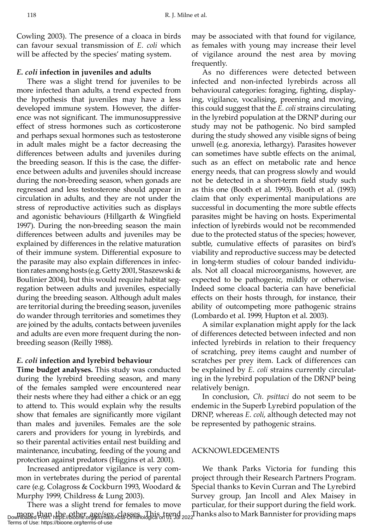Cowling 2003). The presence of a cloaca in birds can favour sexual transmission of *E. coli* which will be affected by the species' mating system.

## *E. coli* **infection in juveniles and adults**

There was a slight trend for juveniles to be more infected than adults, a trend expected from the hypothesis that juveniles may have a less developed immune system. However, the difference was not significant. The immunosuppressive effect of stress hormones such as corticosterone and perhaps sexual hormones such as testosterone in adult males might be a factor decreasing the differences between adults and juveniles during the breeding season. If this is the case, the difference between adults and juveniles should increase during the non-breeding season, when gonads are regressed and less testosterone should appear in circulation in adults, and they are not under the stress of reproductive activities such as displays and agonistic behaviours (Hillgarth & Wingfield 1997). During the non-breeding season the main differences between adults and juveniles may be explained by differences in the relative maturation of their immune system. Differential exposure to the parasite may also explain differences in infection rates among hosts (e.g. Getty 2001, Staszewski & Boulinier 2004), but this would require habitat segregation between adults and juveniles, especially during the breeding season. Although adult males are territorial during the breeding season, juveniles do wander through territories and sometimes they are joined by the adults, contacts between juveniles and adults are even more frequent during the nonbreeding season (Reilly 1988).

# *E. coli* **infection and lyrebird behaviour**

**Time budget analyses.** This study was conducted during the lyrebird breeding season, and many of the females sampled were encountered near their nests where they had either a chick or an egg to attend to. This would explain why the results show that females are significantly more vigilant than males and juveniles. Females are the sole carers and providers for young in lyrebirds, and so their parental activities entail nest building and maintenance, incubating, feeding of the young and protection against predators (Higgins et al*.* 2001).

Increased antipredator vigilance is very common in vertebrates during the period of parental care (e.g. Colagross & Cockburn 1993, Woodard & Murphy 1999, Childress & Lung 2003).

There was a slight trend for females to move more, than the other age/sex classes. This trend<br>Downloaded From: https://bioone.org/purnals/Acta-Ornithologica on 01 Jul 2022 Terms of Use: https://bioone.org/terms-of-use

may be associated with that found for vigilance, as females with young may increase their level of vigilance around the nest area by moving frequently.

As no differences were detected between infected and non-infected lyrebirds across all behavioural categories: foraging, fighting, displaying, vigilance, vocalising, preening and moving, this could suggest that the *E. coli* strains circulating in the lyrebird population at the DRNP during our study may not be pathogenic. No bird sampled during the study showed any visible signs of being unwell (e.g. anorexia, lethargy). Parasites however can sometimes have subtle effects on the animal, such as an effect on metabolic rate and hence energy needs, that can progress slowly and would not be detected in a short-term field study such as this one (Booth et al*.* 1993). Booth et al*.* (1993) claim that only experimental manipulations are successful in documenting the more subtle effects parasites might be having on hosts. Experimental infection of lyrebirds would not be recommended due to the protected status of the species; however, subtle, cumulative effects of parasites on bird's viability and reproductive success may be detected in long-term studies of colour banded individuals. Not all cloacal microorganisms, however, are expected to be pathogenic, mildly or otherwise. Indeed some cloacal bacteria can have beneficial effects on their hosts through, for instance, their ability of outcompeting more pathogenic strains (Lombardo et al. 1999, Hupton et al. 2003).

A similar explanation might apply for the lack of differences detected between infected and non infected lyrebirds in relation to their frequency of scratching, prey items caught and number of scratches per prey item. Lack of differences can be explained by *E. coli* strains currently circulating in the lyrebird population of the DRNP being relatively benign.

In conclusion, *Ch. psittaci* do not seem to be endemic in the Superb Lyrebird population of the DRNP, whereas *E. coli*, although detected may not be represented by pathogenic strains.

## ACKNOWLEDGEMENTS

We thank Parks Victoria for funding this project through their Research Partners Program. Special thanks to Kevin Curran and The Lyrebird Survey group, Jan Incoll and Alex Maisey in particular, for their support during the field work.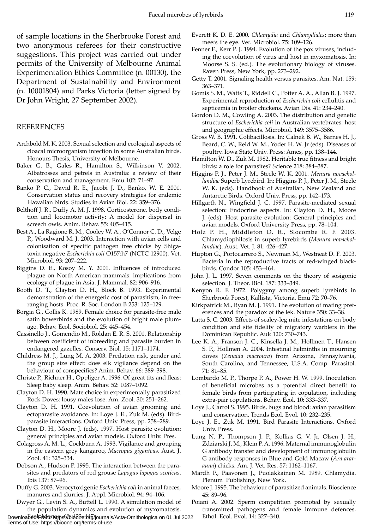of sample locations in the Sherbrooke Forest and two anonymous referees for their constructive suggestions. This project was carried out under permits of the University of Melbourne Animal Experimentation Ethics Committee (n. 00130), the Department of Sustainability and Environment (n. 10001804) and Parks Victoria (letter signed by Dr John Wright, 27 September 2002).

### REFERENCES

- Archbold M. K. 2003. Sexual selection and ecological aspects of cloacal microorganism infection in some Australian birds. Honours Thesis, University of Melbourne.
- Baker G. B., Gales R., Hamilton S., Wilkinson V. 2002. Albatrosses and petrels in Australia: a review of their conservation and management. Emu 102: 71–97.
- Banko P. C., David R. E., Jacobi J. D., Banko, W. E. 2001. Conservation status and recovery strategies for endemic Hawaiian birds. Studies in Avian Biol. 22: 359–376.
- Belthoff J. R., Duffy A. M. J. 1998. Corticosterone, body condition and locomotor activity: A model for dispersal in screech owls. Anim. Behav. 55: 405–415.
- Best A., La Ragione R. M., Cooley W. A., O'Connor C. D., Velge P., Woodward M. J. 2003. Interaction with avian cells and colonisation of specific pathogen free chicks by Shigatoxin negative *Escherichia coli* O157:h7 (NCTC 12900). Vet. Microbiol*.* 93: 207–222.
- Biggins D. E., Kosoy M. Y. 2001. Influences of introduced plague on North American mammals: implications from ecology of plague in Asia. J. Mammal. 82: 906–916.
- Booth D. T., Clayton D. H., Block B. 1993. Experimental demonstration of the energetic cost of parasitism, in freeranging hosts. Proc. R. Soc. London B 253: 125–129.
- Borgia G., Collis K. 1989. Female choice for parasite-free male satin bowerbirds and the evolution of bright male plumage. Behav. Ecol. Sociobiol. 25: 445–454.
- Cassinello J., Gomendio M., Roldan E. R. S. 2001. Relationship between coefficient of inbreeding and parasite burden in endangered gazelles. Conserv. Biol. 15: 1171–1174.
- Childress M. J., Lung M. A. 2003. Predation risk, gender and the group size effect: does elk vigilance depend on the behaviour of conspecifics? Anim. Behav. 66: 389–398.
- Christe P., Richner H., Oppliger A. 1996. Of great tits and fleas: Sleep baby sleep. Anim. Behav. 52: 1087–1092.
- Clayton D. H. 1990. Mate choice in experimentally parasitized Rock Doves: lousy males lose. Am. Zool. 30: 251–262.
- Clayton D. H. 1991. Coevolution of avian grooming and ectoparasite avoidance. In: Loye J. E., Zuk M. (eds). Birdparasite interactions. Oxford Univ. Press, pp. 258–289.
- Clayton D. H., Moore J. (eds). 1997. Host parasite evolution: general principles and avian models. Oxford Univ. Pres.
- Colagross A. M. L., Cockburn A. 1993. Vigilance and grouping in the eastern grey kangaroo, *Macropus giganteus*. Aust. J. Zool. 41: 325–334.
- Dobson A., Hudson P. 1995. The interaction between the parasites and predators of red grouse *Lapogus lapogus scoticus*. Ibis 137: 87–96.
- Duffy G. 2003. Verocytoxigenic *Escherichia coli* in animal faeces, manures and slurries. J. Appl. Microbiol. 94: 94–106.
- Dwyer G., Levin S. A., Buttell L. 1990. A simulation model of the population dynamics and evolution of myxomatosis.

Downloa**Bed Fio/mrtqps://bio2de./d4**g/journals/Acta-Ornithologica on 01 Jul 2022 Ethol. Ecol. Evol. 14: 327–340. Terms of Use: https://bioone.org/terms-of-use

- Everett K. D. E. 2000. *Chlamydia* and *Chlamydiales*: more than meets the eye. Vet. Microbiol. 75: 109–126.
- Fenner F., Kerr P. J. 1994. Evolution of the pox viruses, including the coevolution of virus and host in myxomatosis. In: Moorse S. S. (ed.). The evolutionary biology of viruses. Raven Press, New York, pp. 273–292.
- Getty T. 2001. Signaling health versus parasites. Am. Nat. 159: 363–371.
- Gomis S. M., Watts T., Riddell C., Potter A. A., Allan B. J. 1997. Experimental reproduction of *Escherichia coli* cellulitis and septicemia in broiler chickens. Avian Dis. 41: 234–240.
- Gordon D. M., Cowling A. 2003. The distribution and genetic structure of *Escherichia coli* in Australian vertebrates: host and geographic effects. Microbiol. 149: 3575–3586.
- Gross W. B. 1991. Colibacillosis. In: Calnek B. W., Barnes H. J., Beard, C. W., Reid W. M., Yoder H. W. Jr (eds). Diseases of poultry. Iowa State Univ. Press: Ames, pp. 138–144.
- Hamilton W. D., Zuk M. 1982. Heritable true fitness and bright birds: a role for parasites? Science 218: 384–387.
- Higgins P. J., Peter J. M., Steele W. K. 2001. *Menura novaehollandiae* Superb Lyrebird. In: Higgins P. J., Peter J. M., Steele W. K. (eds). Handbook of Australian, New Zealand and Antarctic Birds. Oxford Univ. Press, pp. 142–173.
- Hillgarth N., Wingfield J. C. 1997. Parasite-mediated sexual selection: Endocrine aspects. In: Clayton D. H., Moore J. (eds). Host parasite evolution: General principles and avian models. Oxford University Press, pp. 78–104.
- Holz P. H., Middleton D. R., Slocombe R. F. 2003. Chlamydiophilosis in superb lyrebirds (*Menura novaehollandiae*). Aust. Vet. J. 81: 426–427.
- Hupton G., Portocarrero S., Newman M., Westneat D. F. 2003. Bacteria in the reproductive tracts of red-winged blackbirds. Condor 105: 453–464.
- John J. L. 1997. Seven comments on the theory of sosigonic selection. J. Theor. Biol. 187: 333–349.
- Kenyon R. F. 1972. Polygyny among superb lyrebirds in Sherbrook Forest, Kallista, Victoria. Emu 72: 70–76.
- Kirkpatrick M., Ryan M. J. 1991. The evolution of mating preferences and the paradox of the lek. Nature 350: 33–38.
- Latta S. C. 2003. Effects of scaley-leg mite infestations on body condition and site fidelity of migratory warblers in the Dominican Republic. Auk 120: 730–743.
- Lee K. A., Franson J. C., Kinsella J. M., Hollmen T., Hansen S. P., Hollmen A. 2004. Intestinal helminths in mourning doves (*Zenaida macroura*) from Arizona, Pennsylvania, South Carolina, and Tennessee, U.S.A. Comp. Parasitol. 71: 81–85.
- Lombardo M. P., Thorpe P. A., Power H. W. 1999. Inoculation of beneficial microbes as a potential direct benefit to female birds from participating in copulation, including extra-pair copulations. Behav. Ecol. 10: 333–337.
- Loye J., Carrol S. 1995. Birds, bugs and blood: avian parasitism and conservation. Trends Ecol. Evol. 10: 232–235.
- Loye J. E., Zuk M. 1991. Bird Parasite Interactions. Oxford Univ. Press.
- Lung N. P., Thompson J. P., Kollias G. V. Jr, Olsen J. H., Zdziarski J. M., Klein P. A. 1996. Maternal immunoglobulin G antibody transfer and development of immunoglobulin G antibody responses in Blue and Gold Macaw (*Ara ararauna*) chicks. Am. J. Vet. Res. 57: 1162–1167.
- Mardh P., Paavonen J., Puolakkainen M. 1989. Chlamydia. Plenum Publishing, New York.
- Moore J. 1995. The behaviour of parasitized animals. Bioscience 45: 89–96.
- Poiani A. 2002. Sperm competition promoted by sexually transmitted pathogens and female immune defences.